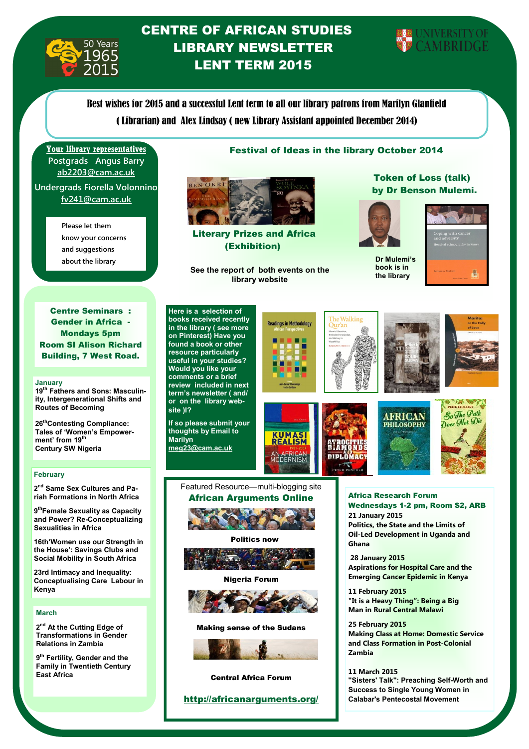

Ī

# CENTRE OF AFRICAN STUDIES LIBRARY NEWSLETTER LENT TERM 2015



Best wishes for 2015 and a successful Lent term to all our library patrons from Marilyn Glanfield ( Librarian) and Alex Lindsay ( new Library Assistant appointed December 2014)

**Your library representatives Postgrads Angus Barry ab2203@cam.ac.uk Undergrads Fiorella Volonnino**

**fv241@cam.ac.uk**

**Please let them know your concerns and suggestions about the library** 

# Festival of Ideas in the library October 2014



Literary Prizes and Africa (Exhibition)

Featured Resource—multi-blogging site African Arguments Online

AN AFRICAN<br>MODERNISM

Politics now

Nigeria Forum

 $\sim$ 

Making sense of the Sudans

Central Africa Forum

http://africanarguments.org/

## Token of Loss (talk) by Dr Benson Mulemi.



**Dr Mulemi's book is in the library**



Centre Seminars : Gender in Africa - Mondays 5pm Room SI Alison Richard Building, 7 West Road.

#### **January**

**19th Fathers and Sons: Masculinity, Intergenerational Shifts and Routes of Becoming**

**26thContesting Compliance: Tales of 'Women's Empowerment' from 19th Century SW Nigeria**

#### **February**

**2 nd Same Sex Cultures and Pariah Formations in North Africa**

**9 thFemale Sexuality as Capacity and Power? Re-Conceptualizing Sexualities in Africa**

**16th'Women use our Strength in the House': Savings Clubs and Social Mobility in South Africa**

**23rd Intimacy and Inequality: Conceptualising Care Labour in Kenya**

#### **March**

**2 nd At the Cutting Edge of Transformations in Gender Relations in Zambia**

**9 th Fertility, Gender and the Family in Twentieth Century East Africa**

**Here is a selection of books received recently in the library ( see more on Pinterest) Have you found a book or other resource particularly useful in your studies? Would you like your comments or a brief review included in next term's newsletter ( and/ or on the library website )I?** 

**If so please submit your thoughts by Email to Marilyn meg23@cam.ac.uk** 















Africa Research Forum Wednesdays 1-2 pm, Room S2, ARB **21 January 2015 Politics, the State and the Limits of Oil-Led Development in Uganda and Ghana**

**28 January 2015 Aspirations for Hospital Care and the Emerging Cancer Epidemic in Kenya** 

**11 February 2015 "It is a Heavy Thing": Being a Big Man in Rural Central Malawi** 

**25 February 2015 Making Class at Home: Domestic Service and Class Formation in Post-Colonial Zambia** 

**11 March 2015 "Sisters' Talk": Preaching Self-Worth and Success to Single Young Women in Calabar's Pentecostal Movement**

**See the report of both events on the library website**